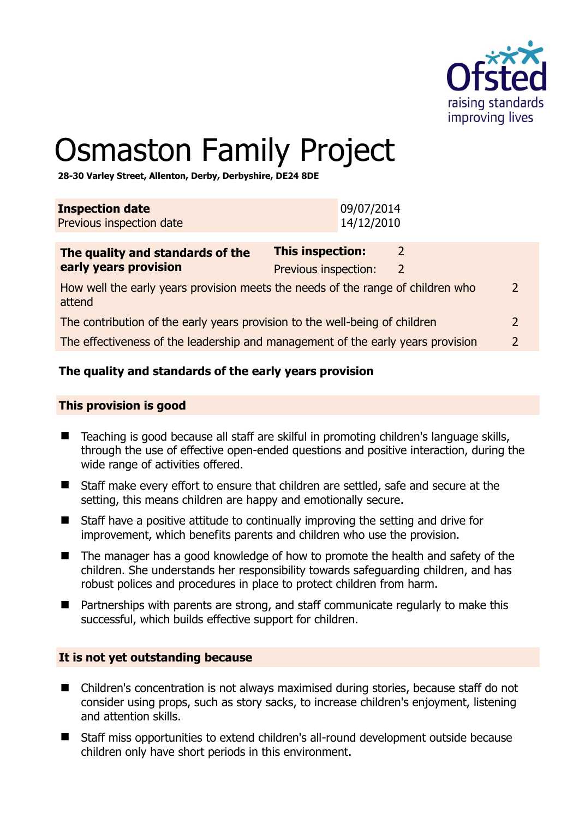

 $\overline{\phantom{0}}$ 

# Osmaston Family Project

**28-30 Varley Street, Allenton, Derby, Derbyshire, DE24 8DE** 

| <b>Inspection date</b><br>Previous inspection date                          | 09/07/2014<br>14/12/2010                                                        |                |
|-----------------------------------------------------------------------------|---------------------------------------------------------------------------------|----------------|
| The quality and standards of the<br>early years provision                   | <b>This inspection:</b><br>2<br>Previous inspection:<br>2                       |                |
| attend                                                                      | How well the early years provision meets the needs of the range of children who | $\overline{2}$ |
| The contribution of the early years provision to the well-being of children |                                                                                 | $\overline{2}$ |
|                                                                             | The effectiveness of the leadership and management of the early years provision | $\overline{2}$ |

# **The quality and standards of the early years provision**

#### **This provision is good**

- Teaching is good because all staff are skilful in promoting children's language skills, through the use of effective open-ended questions and positive interaction, during the wide range of activities offered.
- Staff make every effort to ensure that children are settled, safe and secure at the setting, this means children are happy and emotionally secure.
- Staff have a positive attitude to continually improving the setting and drive for improvement, which benefits parents and children who use the provision.
- The manager has a good knowledge of how to promote the health and safety of the children. She understands her responsibility towards safeguarding children, and has robust polices and procedures in place to protect children from harm.
- Partnerships with parents are strong, and staff communicate regularly to make this successful, which builds effective support for children.

#### **It is not yet outstanding because**

- Children's concentration is not always maximised during stories, because staff do not consider using props, such as story sacks, to increase children's enjoyment, listening and attention skills.
- Staff miss opportunities to extend children's all-round development outside because children only have short periods in this environment.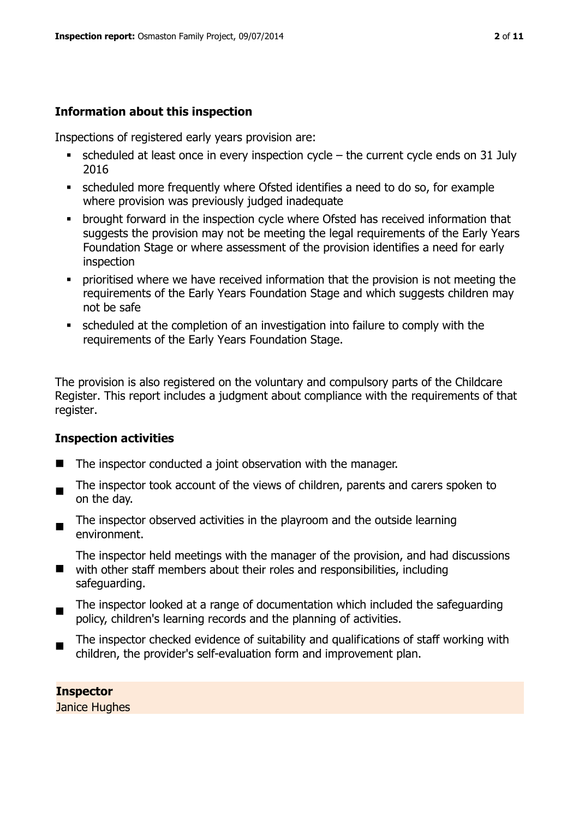#### **Information about this inspection**

Inspections of registered early years provision are:

- $\bullet$  scheduled at least once in every inspection cycle the current cycle ends on 31 July 2016
- scheduled more frequently where Ofsted identifies a need to do so, for example where provision was previously judged inadequate
- **•** brought forward in the inspection cycle where Ofsted has received information that suggests the provision may not be meeting the legal requirements of the Early Years Foundation Stage or where assessment of the provision identifies a need for early inspection
- **•** prioritised where we have received information that the provision is not meeting the requirements of the Early Years Foundation Stage and which suggests children may not be safe
- scheduled at the completion of an investigation into failure to comply with the requirements of the Early Years Foundation Stage.

The provision is also registered on the voluntary and compulsory parts of the Childcare Register. This report includes a judgment about compliance with the requirements of that register.

#### **Inspection activities**

- The inspector conducted a joint observation with the manager.
- $\blacksquare$ The inspector took account of the views of children, parents and carers spoken to on the day.
- The inspector observed activities in the playroom and the outside learning environment.

The inspector held meetings with the manager of the provision, and had discussions

- with other staff members about their roles and responsibilities, including safeguarding.
- $\blacksquare$ The inspector looked at a range of documentation which included the safeguarding policy, children's learning records and the planning of activities.
- The inspector checked evidence of suitability and qualifications of staff working with children, the provider's self-evaluation form and improvement plan.

#### **Inspector**

Janice Hughes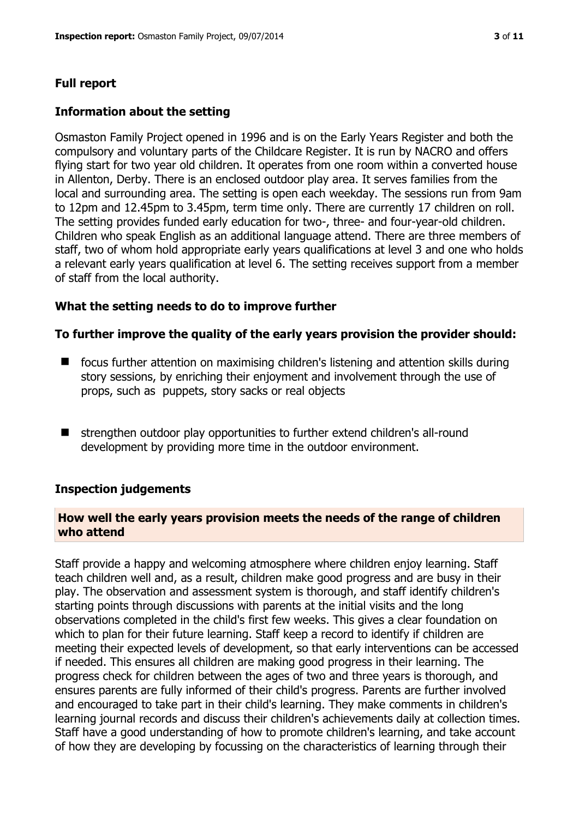#### **Full report**

#### **Information about the setting**

Osmaston Family Project opened in 1996 and is on the Early Years Register and both the compulsory and voluntary parts of the Childcare Register. It is run by NACRO and offers flying start for two year old children. It operates from one room within a converted house in Allenton, Derby. There is an enclosed outdoor play area. It serves families from the local and surrounding area. The setting is open each weekday. The sessions run from 9am to 12pm and 12.45pm to 3.45pm, term time only. There are currently 17 children on roll. The setting provides funded early education for two-, three- and four-year-old children. Children who speak English as an additional language attend. There are three members of staff, two of whom hold appropriate early years qualifications at level 3 and one who holds a relevant early years qualification at level 6. The setting receives support from a member of staff from the local authority.

#### **What the setting needs to do to improve further**

#### **To further improve the quality of the early years provision the provider should:**

- focus further attention on maximising children's listening and attention skills during story sessions, by enriching their enjoyment and involvement through the use of props, such as puppets, story sacks or real objects
- strengthen outdoor play opportunities to further extend children's all-round development by providing more time in the outdoor environment.

#### **Inspection judgements**

#### **How well the early years provision meets the needs of the range of children who attend**

Staff provide a happy and welcoming atmosphere where children enjoy learning. Staff teach children well and, as a result, children make good progress and are busy in their play. The observation and assessment system is thorough, and staff identify children's starting points through discussions with parents at the initial visits and the long observations completed in the child's first few weeks. This gives a clear foundation on which to plan for their future learning. Staff keep a record to identify if children are meeting their expected levels of development, so that early interventions can be accessed if needed. This ensures all children are making good progress in their learning. The progress check for children between the ages of two and three years is thorough, and ensures parents are fully informed of their child's progress. Parents are further involved and encouraged to take part in their child's learning. They make comments in children's learning journal records and discuss their children's achievements daily at collection times. Staff have a good understanding of how to promote children's learning, and take account of how they are developing by focussing on the characteristics of learning through their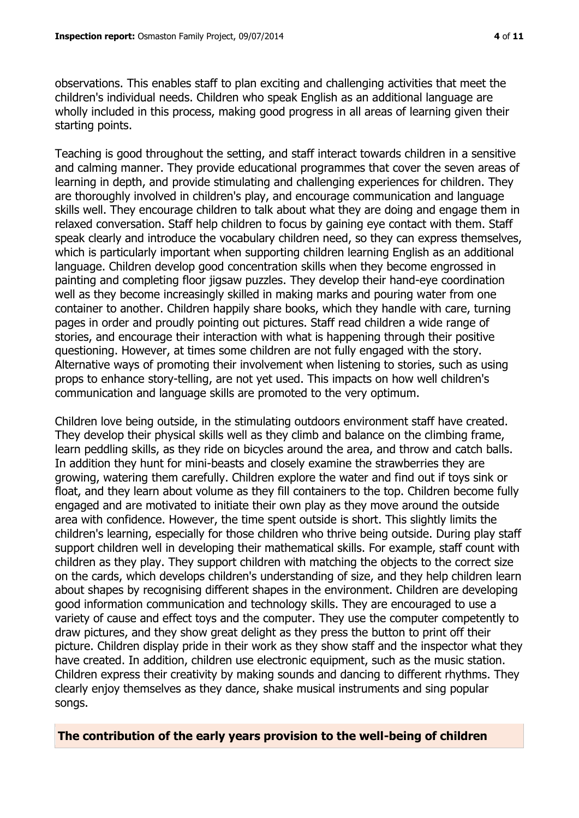observations. This enables staff to plan exciting and challenging activities that meet the children's individual needs. Children who speak English as an additional language are wholly included in this process, making good progress in all areas of learning given their starting points.

Teaching is good throughout the setting, and staff interact towards children in a sensitive and calming manner. They provide educational programmes that cover the seven areas of learning in depth, and provide stimulating and challenging experiences for children. They are thoroughly involved in children's play, and encourage communication and language skills well. They encourage children to talk about what they are doing and engage them in relaxed conversation. Staff help children to focus by gaining eye contact with them. Staff speak clearly and introduce the vocabulary children need, so they can express themselves, which is particularly important when supporting children learning English as an additional language. Children develop good concentration skills when they become engrossed in painting and completing floor jigsaw puzzles. They develop their hand-eye coordination well as they become increasingly skilled in making marks and pouring water from one container to another. Children happily share books, which they handle with care, turning pages in order and proudly pointing out pictures. Staff read children a wide range of stories, and encourage their interaction with what is happening through their positive questioning. However, at times some children are not fully engaged with the story. Alternative ways of promoting their involvement when listening to stories, such as using props to enhance story-telling, are not yet used. This impacts on how well children's communication and language skills are promoted to the very optimum.

Children love being outside, in the stimulating outdoors environment staff have created. They develop their physical skills well as they climb and balance on the climbing frame, learn peddling skills, as they ride on bicycles around the area, and throw and catch balls. In addition they hunt for mini-beasts and closely examine the strawberries they are growing, watering them carefully. Children explore the water and find out if toys sink or float, and they learn about volume as they fill containers to the top. Children become fully engaged and are motivated to initiate their own play as they move around the outside area with confidence. However, the time spent outside is short. This slightly limits the children's learning, especially for those children who thrive being outside. During play staff support children well in developing their mathematical skills. For example, staff count with children as they play. They support children with matching the objects to the correct size on the cards, which develops children's understanding of size, and they help children learn about shapes by recognising different shapes in the environment. Children are developing good information communication and technology skills. They are encouraged to use a variety of cause and effect toys and the computer. They use the computer competently to draw pictures, and they show great delight as they press the button to print off their picture. Children display pride in their work as they show staff and the inspector what they have created. In addition, children use electronic equipment, such as the music station. Children express their creativity by making sounds and dancing to different rhythms. They clearly enjoy themselves as they dance, shake musical instruments and sing popular songs.

**The contribution of the early years provision to the well-being of children**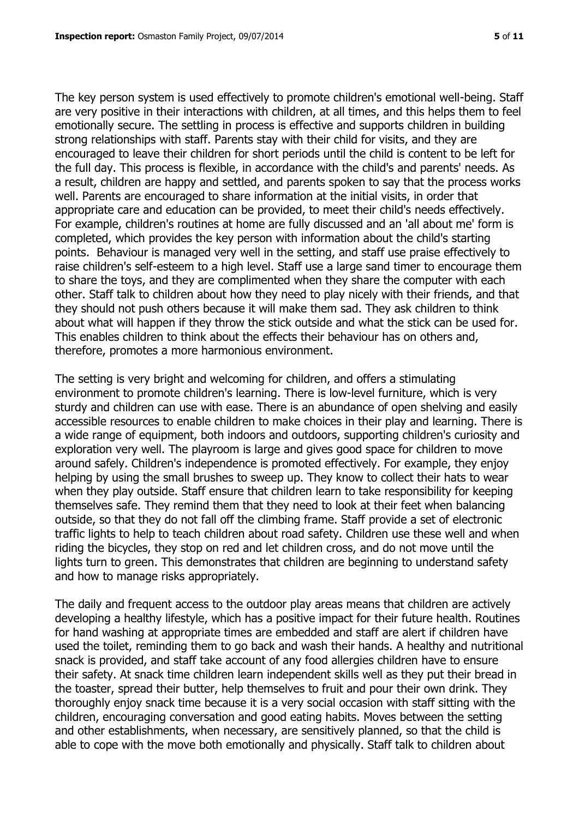The key person system is used effectively to promote children's emotional well-being. Staff are very positive in their interactions with children, at all times, and this helps them to feel emotionally secure. The settling in process is effective and supports children in building strong relationships with staff. Parents stay with their child for visits, and they are encouraged to leave their children for short periods until the child is content to be left for the full day. This process is flexible, in accordance with the child's and parents' needs. As a result, children are happy and settled, and parents spoken to say that the process works well. Parents are encouraged to share information at the initial visits, in order that appropriate care and education can be provided, to meet their child's needs effectively. For example, children's routines at home are fully discussed and an 'all about me' form is completed, which provides the key person with information about the child's starting points. Behaviour is managed very well in the setting, and staff use praise effectively to raise children's self-esteem to a high level. Staff use a large sand timer to encourage them to share the toys, and they are complimented when they share the computer with each other. Staff talk to children about how they need to play nicely with their friends, and that they should not push others because it will make them sad. They ask children to think about what will happen if they throw the stick outside and what the stick can be used for. This enables children to think about the effects their behaviour has on others and, therefore, promotes a more harmonious environment.

The setting is very bright and welcoming for children, and offers a stimulating environment to promote children's learning. There is low-level furniture, which is very sturdy and children can use with ease. There is an abundance of open shelving and easily accessible resources to enable children to make choices in their play and learning. There is a wide range of equipment, both indoors and outdoors, supporting children's curiosity and exploration very well. The playroom is large and gives good space for children to move around safely. Children's independence is promoted effectively. For example, they enjoy helping by using the small brushes to sweep up. They know to collect their hats to wear when they play outside. Staff ensure that children learn to take responsibility for keeping themselves safe. They remind them that they need to look at their feet when balancing outside, so that they do not fall off the climbing frame. Staff provide a set of electronic traffic lights to help to teach children about road safety. Children use these well and when riding the bicycles, they stop on red and let children cross, and do not move until the lights turn to green. This demonstrates that children are beginning to understand safety and how to manage risks appropriately.

The daily and frequent access to the outdoor play areas means that children are actively developing a healthy lifestyle, which has a positive impact for their future health. Routines for hand washing at appropriate times are embedded and staff are alert if children have used the toilet, reminding them to go back and wash their hands. A healthy and nutritional snack is provided, and staff take account of any food allergies children have to ensure their safety. At snack time children learn independent skills well as they put their bread in the toaster, spread their butter, help themselves to fruit and pour their own drink. They thoroughly enjoy snack time because it is a very social occasion with staff sitting with the children, encouraging conversation and good eating habits. Moves between the setting and other establishments, when necessary, are sensitively planned, so that the child is able to cope with the move both emotionally and physically. Staff talk to children about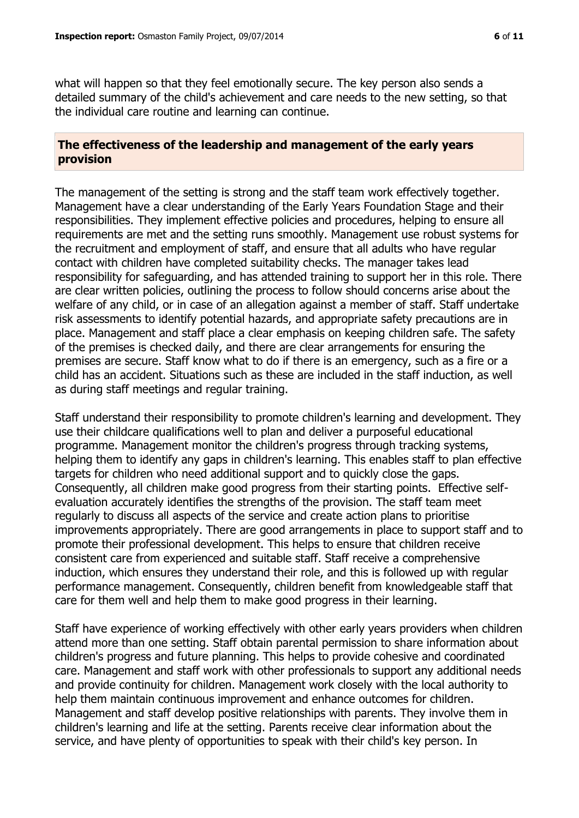what will happen so that they feel emotionally secure. The key person also sends a detailed summary of the child's achievement and care needs to the new setting, so that the individual care routine and learning can continue.

#### **The effectiveness of the leadership and management of the early years provision**

The management of the setting is strong and the staff team work effectively together. Management have a clear understanding of the Early Years Foundation Stage and their responsibilities. They implement effective policies and procedures, helping to ensure all requirements are met and the setting runs smoothly. Management use robust systems for the recruitment and employment of staff, and ensure that all adults who have regular contact with children have completed suitability checks. The manager takes lead responsibility for safeguarding, and has attended training to support her in this role. There are clear written policies, outlining the process to follow should concerns arise about the welfare of any child, or in case of an allegation against a member of staff. Staff undertake risk assessments to identify potential hazards, and appropriate safety precautions are in place. Management and staff place a clear emphasis on keeping children safe. The safety of the premises is checked daily, and there are clear arrangements for ensuring the premises are secure. Staff know what to do if there is an emergency, such as a fire or a child has an accident. Situations such as these are included in the staff induction, as well as during staff meetings and regular training.

Staff understand their responsibility to promote children's learning and development. They use their childcare qualifications well to plan and deliver a purposeful educational programme. Management monitor the children's progress through tracking systems, helping them to identify any gaps in children's learning. This enables staff to plan effective targets for children who need additional support and to quickly close the gaps. Consequently, all children make good progress from their starting points. Effective selfevaluation accurately identifies the strengths of the provision. The staff team meet regularly to discuss all aspects of the service and create action plans to prioritise improvements appropriately. There are good arrangements in place to support staff and to promote their professional development. This helps to ensure that children receive consistent care from experienced and suitable staff. Staff receive a comprehensive induction, which ensures they understand their role, and this is followed up with regular performance management. Consequently, children benefit from knowledgeable staff that care for them well and help them to make good progress in their learning.

Staff have experience of working effectively with other early years providers when children attend more than one setting. Staff obtain parental permission to share information about children's progress and future planning. This helps to provide cohesive and coordinated care. Management and staff work with other professionals to support any additional needs and provide continuity for children. Management work closely with the local authority to help them maintain continuous improvement and enhance outcomes for children. Management and staff develop positive relationships with parents. They involve them in children's learning and life at the setting. Parents receive clear information about the service, and have plenty of opportunities to speak with their child's key person. In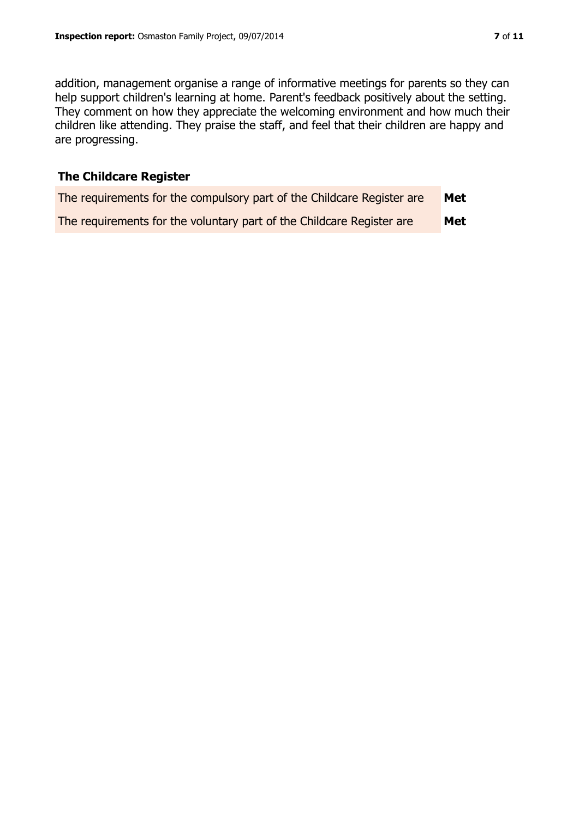addition, management organise a range of informative meetings for parents so they can help support children's learning at home. Parent's feedback positively about the setting. They comment on how they appreciate the welcoming environment and how much their children like attending. They praise the staff, and feel that their children are happy and are progressing.

# **The Childcare Register**

| The requirements for the compulsory part of the Childcare Register are | Met |
|------------------------------------------------------------------------|-----|
| The requirements for the voluntary part of the Childcare Register are  | Met |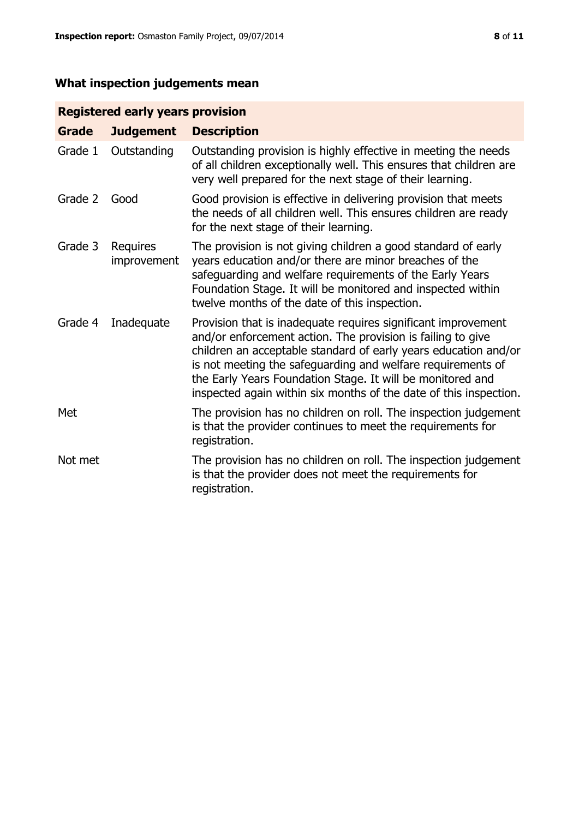# **What inspection judgements mean**

# **Registered early years provision**

| <b>Grade</b> | <b>Judgement</b>               | <b>Description</b>                                                                                                                                                                                                                                                                                                                                                                                |
|--------------|--------------------------------|---------------------------------------------------------------------------------------------------------------------------------------------------------------------------------------------------------------------------------------------------------------------------------------------------------------------------------------------------------------------------------------------------|
| Grade 1      | Outstanding                    | Outstanding provision is highly effective in meeting the needs<br>of all children exceptionally well. This ensures that children are<br>very well prepared for the next stage of their learning.                                                                                                                                                                                                  |
| Grade 2      | Good                           | Good provision is effective in delivering provision that meets<br>the needs of all children well. This ensures children are ready<br>for the next stage of their learning.                                                                                                                                                                                                                        |
| Grade 3      | <b>Requires</b><br>improvement | The provision is not giving children a good standard of early<br>years education and/or there are minor breaches of the<br>safeguarding and welfare requirements of the Early Years<br>Foundation Stage. It will be monitored and inspected within<br>twelve months of the date of this inspection.                                                                                               |
| Grade 4      | Inadequate                     | Provision that is inadequate requires significant improvement<br>and/or enforcement action. The provision is failing to give<br>children an acceptable standard of early years education and/or<br>is not meeting the safeguarding and welfare requirements of<br>the Early Years Foundation Stage. It will be monitored and<br>inspected again within six months of the date of this inspection. |
| Met          |                                | The provision has no children on roll. The inspection judgement<br>is that the provider continues to meet the requirements for<br>registration.                                                                                                                                                                                                                                                   |
| Not met      |                                | The provision has no children on roll. The inspection judgement<br>is that the provider does not meet the requirements for<br>registration.                                                                                                                                                                                                                                                       |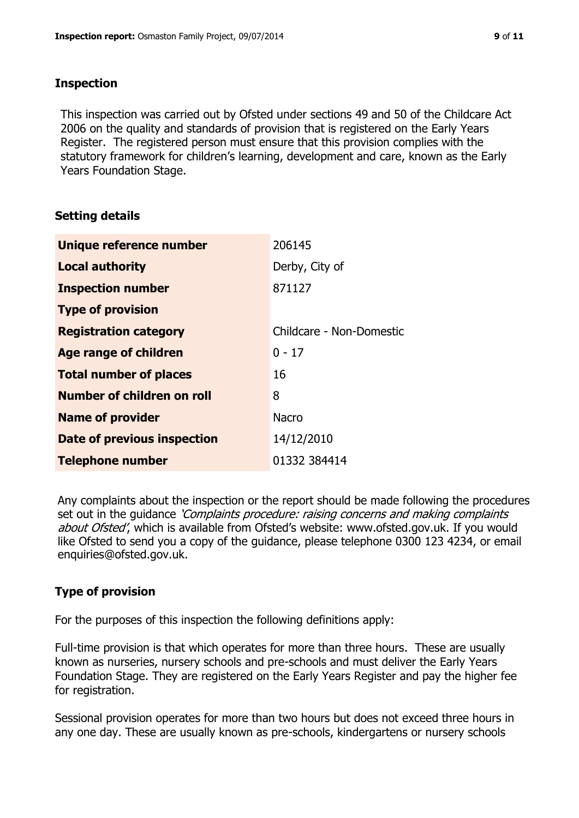### **Inspection**

This inspection was carried out by Ofsted under sections 49 and 50 of the Childcare Act 2006 on the quality and standards of provision that is registered on the Early Years Register. The registered person must ensure that this provision complies with the statutory framework for children's learning, development and care, known as the Early Years Foundation Stage.

# **Setting details**

| Unique reference number       | 206145                   |
|-------------------------------|--------------------------|
| <b>Local authority</b>        | Derby, City of           |
| <b>Inspection number</b>      | 871127                   |
| <b>Type of provision</b>      |                          |
| <b>Registration category</b>  | Childcare - Non-Domestic |
| <b>Age range of children</b>  | $0 - 17$                 |
| <b>Total number of places</b> | 16                       |
| Number of children on roll    | 8                        |
| <b>Name of provider</b>       | <b>Nacro</b>             |
| Date of previous inspection   | 14/12/2010               |
| <b>Telephone number</b>       | 01332 384414             |

Any complaints about the inspection or the report should be made following the procedures set out in the guidance *'Complaints procedure: raising concerns and making complaints* about Ofsted', which is available from Ofsted's website: www.ofsted.gov.uk. If you would like Ofsted to send you a copy of the guidance, please telephone 0300 123 4234, or email enquiries@ofsted.gov.uk.

# **Type of provision**

For the purposes of this inspection the following definitions apply:

Full-time provision is that which operates for more than three hours. These are usually known as nurseries, nursery schools and pre-schools and must deliver the Early Years Foundation Stage. They are registered on the Early Years Register and pay the higher fee for registration.

Sessional provision operates for more than two hours but does not exceed three hours in any one day. These are usually known as pre-schools, kindergartens or nursery schools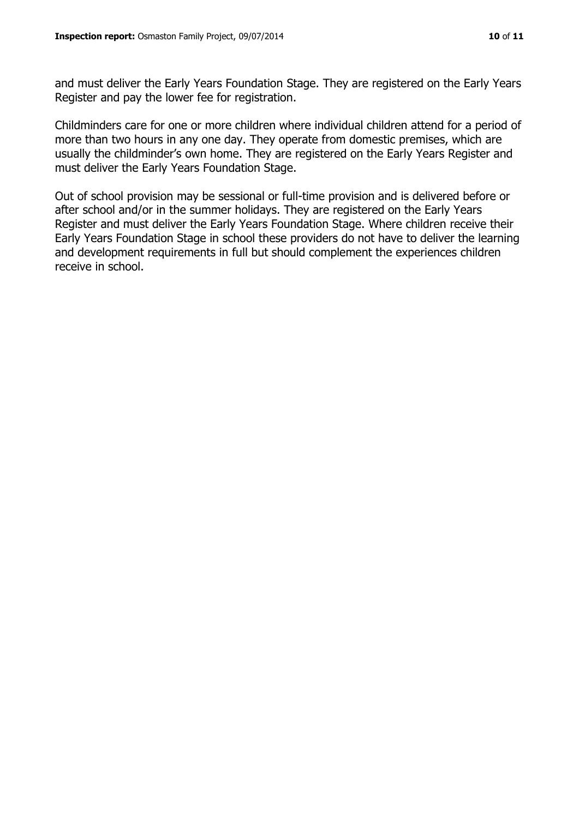and must deliver the Early Years Foundation Stage. They are registered on the Early Years Register and pay the lower fee for registration.

Childminders care for one or more children where individual children attend for a period of more than two hours in any one day. They operate from domestic premises, which are usually the childminder's own home. They are registered on the Early Years Register and must deliver the Early Years Foundation Stage.

Out of school provision may be sessional or full-time provision and is delivered before or after school and/or in the summer holidays. They are registered on the Early Years Register and must deliver the Early Years Foundation Stage. Where children receive their Early Years Foundation Stage in school these providers do not have to deliver the learning and development requirements in full but should complement the experiences children receive in school.